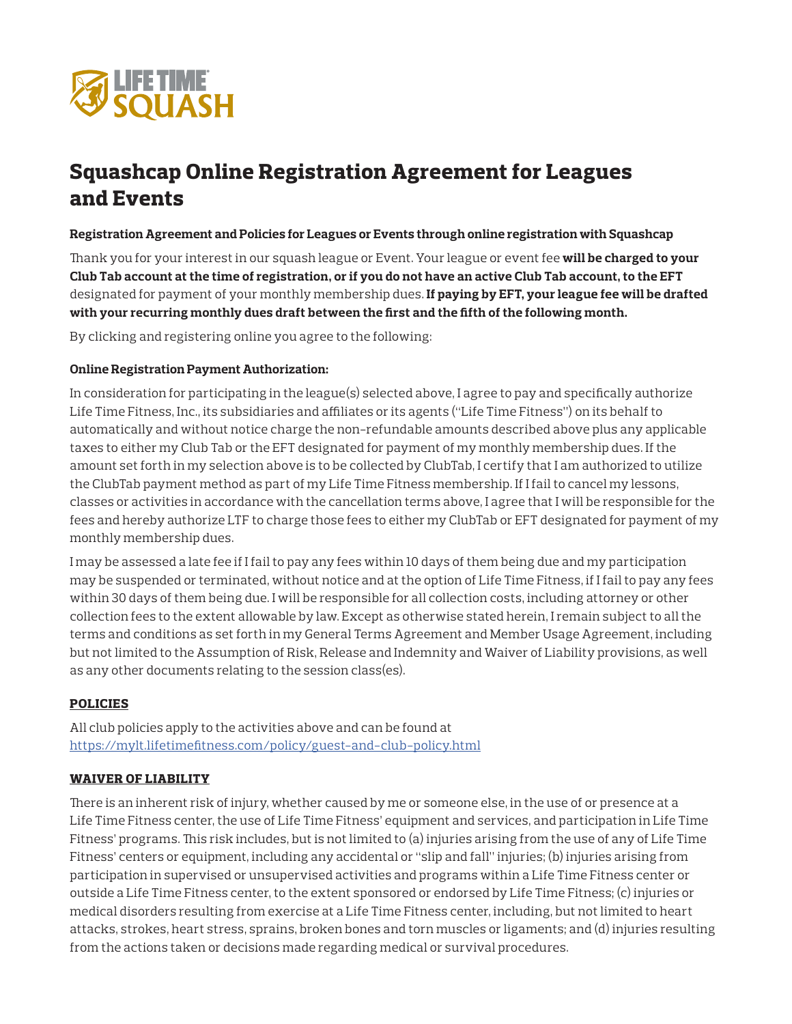

# Squashcap Online Registration Agreement for Leagues and Events

### **Registration Agreement and Policies for Leagues or Events through online registration with Squashcap**

Thank you for your interest in our squash league or Event. Your league or event fee **will be charged to your Club Tab account at the time of registration, or if you do not have an active Club Tab account, to the EFT** designated for payment of your monthly membership dues. **If paying by EFT, your league fee will be drafted with your recurring monthly dues draft between the first and the fifth of the following month.**

By clicking and registering online you agree to the following:

# **Online Registration Payment Authorization:**

In consideration for participating in the league(s) selected above, I agree to pay and specifically authorize Life Time Fitness, Inc., its subsidiaries and affiliates or its agents ("Life Time Fitness") on its behalf to automatically and without notice charge the non-refundable amounts described above plus any applicable taxes to either my Club Tab or the EFT designated for payment of my monthly membership dues. If the amount set forth in my selection above is to be collected by ClubTab, I certify that I am authorized to utilize the ClubTab payment method as part of my Life Time Fitness membership. If I fail to cancel my lessons, classes or activities in accordance with the cancellation terms above, I agree that I will be responsible for the fees and hereby authorize LTF to charge those fees to either my ClubTab or EFT designated for payment of my monthly membership dues.

I may be assessed a late fee if I fail to pay any fees within 10 days of them being due and my participation may be suspended or terminated, without notice and at the option of Life Time Fitness, if I fail to pay any fees within 30 days of them being due. I will be responsible for all collection costs, including attorney or other collection fees to the extent allowable by law. Except as otherwise stated herein, I remain subject to all the terms and conditions as set forth in my General Terms Agreement and Member Usage Agreement, including but not limited to the Assumption of Risk, Release and Indemnity and Waiver of Liability provisions, as well as any other documents relating to the session class(es).

### POLICIES

All club policies apply to the activities above and can be found at https://mylt.lifetimefitness.com/policy/guest-and-club-policy.html

### WAIVER OF LIABILITY

There is an inherent risk of injury, whether caused by me or someone else, in the use of or presence at a Life Time Fitness center, the use of Life Time Fitness' equipment and services, and participation in Life Time Fitness' programs. This risk includes, but is not limited to (a) injuries arising from the use of any of Life Time Fitness' centers or equipment, including any accidental or "slip and fall" injuries; (b) injuries arising from participation in supervised or unsupervised activities and programs within a Life Time Fitness center or outside a Life Time Fitness center, to the extent sponsored or endorsed by Life Time Fitness; (c) injuries or medical disorders resulting from exercise at a Life Time Fitness center, including, but not limited to heart attacks, strokes, heart stress, sprains, broken bones and torn muscles or ligaments; and (d) injuries resulting from the actions taken or decisions made regarding medical or survival procedures.